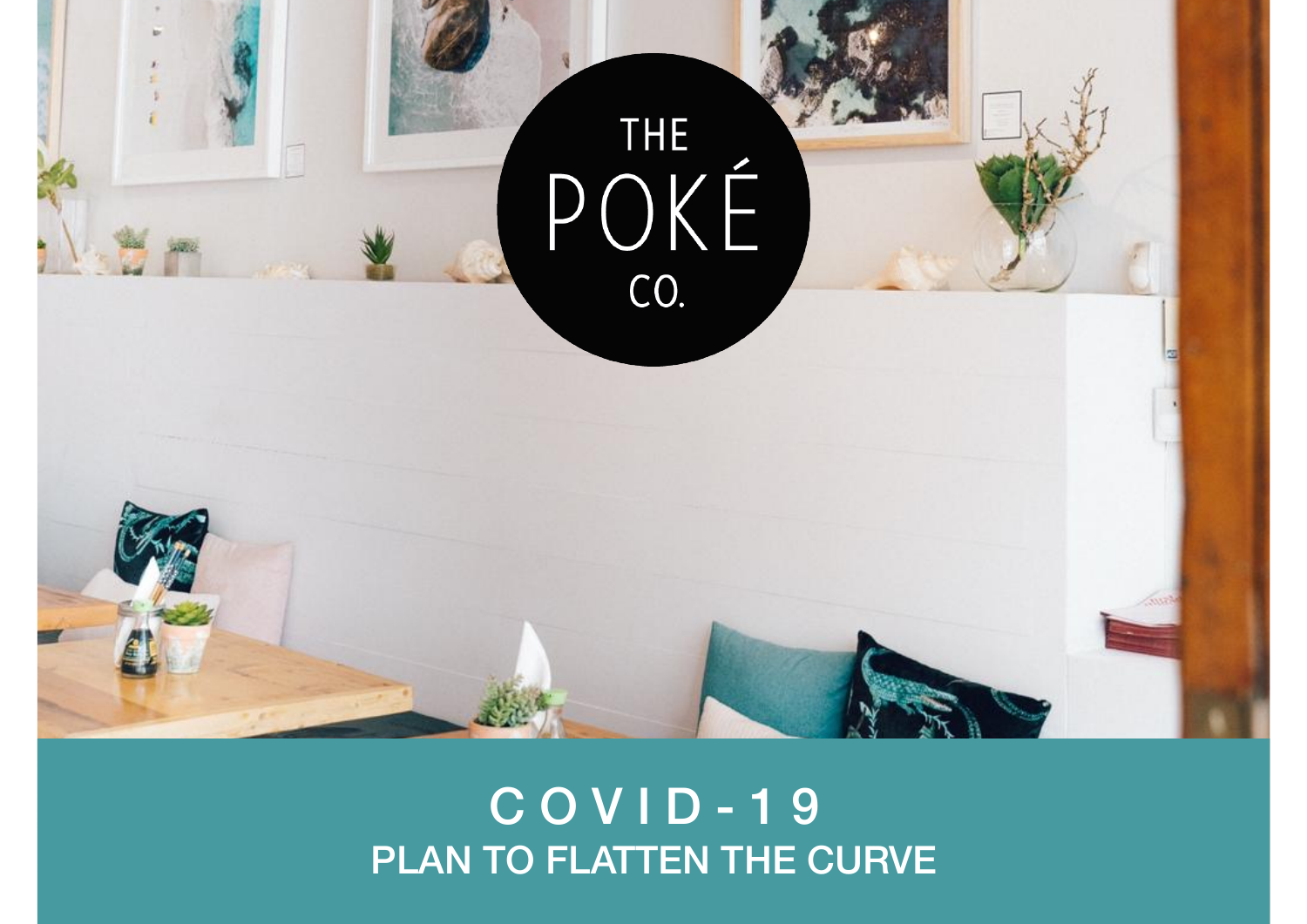

## C O V I D - 1 9 PLAN TO FLATTEN THE CURVE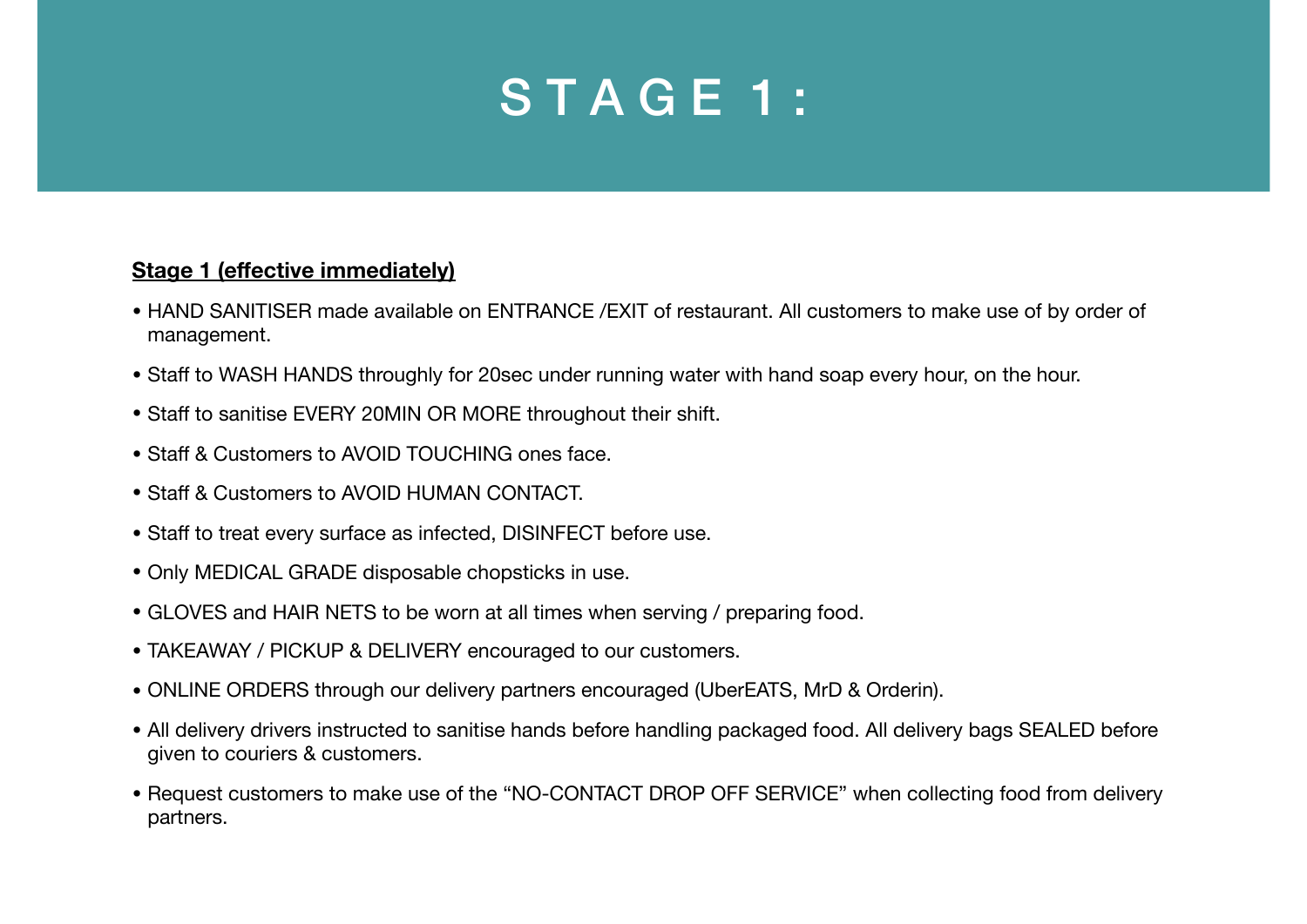## STAGE 1:

## **Stage 1 (effective immediately)**

- HAND SANITISER made available on ENTRANCE /EXIT of restaurant. All customers to make use of by order of management.
- Staff to WASH HANDS throughly for 20sec under running water with hand soap every hour, on the hour.
- Staff to sanitise EVERY 20MIN OR MORE throughout their shift.
- Staff & Customers to AVOID TOUCHING ones face.
- Staff & Customers to AVOID HUMAN CONTACT.
- Staff to treat every surface as infected, DISINFECT before use.
- Only MEDICAL GRADE disposable chopsticks in use.
- GLOVES and HAIR NETS to be worn at all times when serving / preparing food.
- TAKEAWAY / PICKUP & DELIVERY encouraged to our customers.
- ONLINE ORDERS through our delivery partners encouraged (UberEATS, MrD & Orderin).
- All delivery drivers instructed to sanitise hands before handling packaged food. All delivery bags SEALED before given to couriers & customers.
- Request customers to make use of the "NO-CONTACT DROP OFF SERVICE" when collecting food from delivery partners.